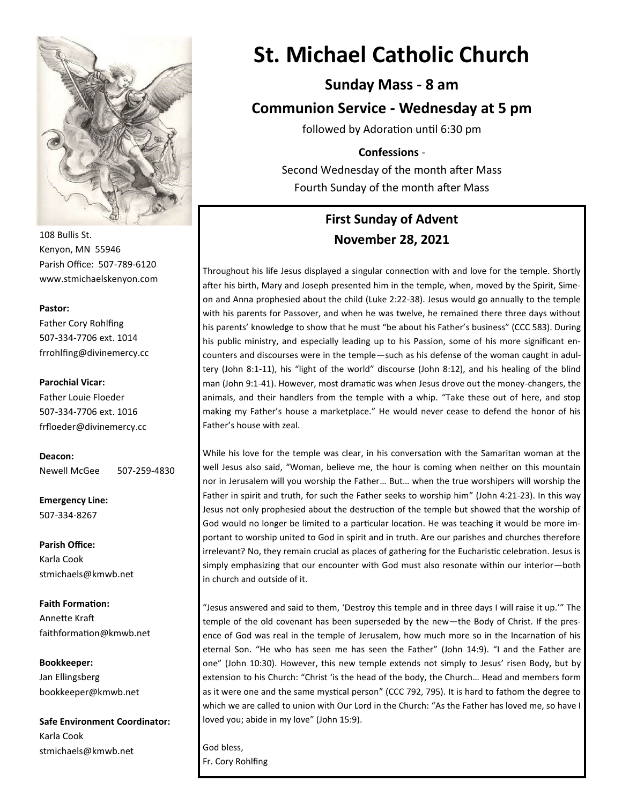

108 Bullis St. Kenyon, MN 55946 Parish Office: 507-789-6120 www.stmichaelskenyon.com

#### **Pastor:**

Father Cory Rohlfing 507-334-7706 ext. 1014 frrohlfing@divinemercy.cc

#### **Parochial Vicar:**

Father Louie Floeder 507-334-7706 ext. 1016 frfloeder@divinemercy.cc

**Deacon:**  Newell McGee 507-259-4830

**Emergency Line:** 507-334-8267

**Parish Office:**  Karla Cook stmichaels@kmwb.net

**Faith Formation:**  Annette Kraft faithformation@kmwb.net

**Bookkeeper:**  Jan Ellingsberg bookkeeper@kmwb.net

**Safe Environment Coordinator:** Karla Cook stmichaels@kmwb.net

# **St. Michael Catholic Church**

## **Sunday Mass - 8 am**

**Communion Service - Wednesday at 5 pm**

followed by Adoration until 6:30 pm

#### **Confessions** -

Second Wednesday of the month after Mass Fourth Sunday of the month after Mass

## **First Sunday of Advent November 28, 2021**

Throughout his life Jesus displayed a singular connection with and love for the temple. Shortly after his birth, Mary and Joseph presented him in the temple, when, moved by the Spirit, Simeon and Anna prophesied about the child (Luke 2:22-38). Jesus would go annually to the temple with his parents for Passover, and when he was twelve, he remained there three days without his parents' knowledge to show that he must "be about his Father's business" (CCC 583). During his public ministry, and especially leading up to his Passion, some of his more significant encounters and discourses were in the temple—such as his defense of the woman caught in adultery (John 8:1-11), his "light of the world" discourse (John 8:12), and his healing of the blind man (John 9:1-41). However, most dramatic was when Jesus drove out the money-changers, the animals, and their handlers from the temple with a whip. "Take these out of here, and stop making my Father's house a marketplace." He would never cease to defend the honor of his Father's house with zeal.

While his love for the temple was clear, in his conversation with the Samaritan woman at the well Jesus also said, "Woman, believe me, the hour is coming when neither on this mountain nor in Jerusalem will you worship the Father… But… when the true worshipers will worship the Father in spirit and truth, for such the Father seeks to worship him" (John 4:21-23). In this way Jesus not only prophesied about the destruction of the temple but showed that the worship of God would no longer be limited to a particular location. He was teaching it would be more important to worship united to God in spirit and in truth. Are our parishes and churches therefore irrelevant? No, they remain crucial as places of gathering for the Eucharistic celebration. Jesus is simply emphasizing that our encounter with God must also resonate within our interior—both in church and outside of it.

"Jesus answered and said to them, 'Destroy this temple and in three days I will raise it up.'" The temple of the old covenant has been superseded by the new—the Body of Christ. If the presence of God was real in the temple of Jerusalem, how much more so in the Incarnation of his eternal Son. "He who has seen me has seen the Father" (John 14:9). "I and the Father are one" (John 10:30). However, this new temple extends not simply to Jesus' risen Body, but by extension to his Church: "Christ 'is the head of the body, the Church… Head and members form as it were one and the same mystical person" (CCC 792, 795). It is hard to fathom the degree to which we are called to union with Our Lord in the Church: "As the Father has loved me, so have I loved you; abide in my love" (John 15:9).

God bless, Fr. Cory Rohlfing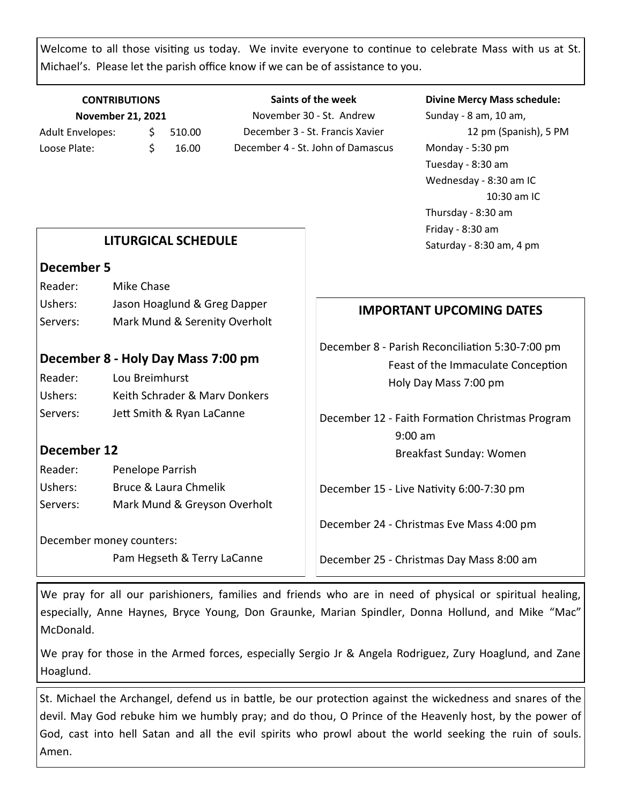Welcome to all those visiting us today. We invite everyone to continue to celebrate Mass with us at St. Michael's. Please let the parish office know if we can be of assistance to you.

#### **CONTRIBUTIONS November 21, 2021** Adult Envelopes:  $\frac{1}{5}$  510.00 Loose Plate: \$ 16.00

**Saints of the week** November 30 - St. Andrew December 3 - St. Francis Xavier December 4 - St. John of Damascus

#### **Divine Mercy Mass schedule:**

Sunday - 8 am, 10 am, 12 pm (Spanish), 5 PM Monday - 5:30 pm Tuesday - 8:30 am Wednesday - 8:30 am IC 10:30 am IC Thursday - 8:30 am Friday - 8:30 am Saturday - 8:30 am, 4 pm

#### **LITURGICAL SCHEDULE**

#### **December 5**

| Reader:  | Mike Chase                    |
|----------|-------------------------------|
| Ushers:  | Jason Hoaglund & Greg Dapper  |
| Servers: | Mark Mund & Serenity Overholt |

### **December 8 - Holy Day Mass 7:00 pm**

| Reader:  | Lou Breimhurst                |
|----------|-------------------------------|
| Ushers:  | Keith Schrader & Mary Donkers |
| Servers: | Jett Smith & Ryan LaCanne     |

### **December 12**

Reader: Penelope Parrish Ushers: Bruce & Laura Chmelik Servers: Mark Mund & Greyson Overholt

December money counters:

Pam Hegseth & Terry LaCanne

## **IMPORTANT UPCOMING DATES**

December 8 - Parish Reconciliation 5:30-7:00 pm Feast of the Immaculate Conception Holy Day Mass 7:00 pm

December 12 - Faith Formation Christmas Program 9:00 am Breakfast Sunday: Women

December 15 - Live Nativity 6:00-7:30 pm

December 24 - Christmas Eve Mass 4:00 pm

December 25 - Christmas Day Mass 8:00 am

We pray for all our parishioners, families and friends who are in need of physical or spiritual healing, especially, Anne Haynes, Bryce Young, Don Graunke, Marian Spindler, Donna Hollund, and Mike "Mac" McDonald.

We pray for those in the Armed forces, especially Sergio Jr & Angela Rodriguez, Zury Hoaglund, and Zane Hoaglund.

St. Michael the Archangel, defend us in battle, be our protection against the wickedness and snares of the devil. May God rebuke him we humbly pray; and do thou, O Prince of the Heavenly host, by the power of God, cast into hell Satan and all the evil spirits who prowl about the world seeking the ruin of souls. Amen.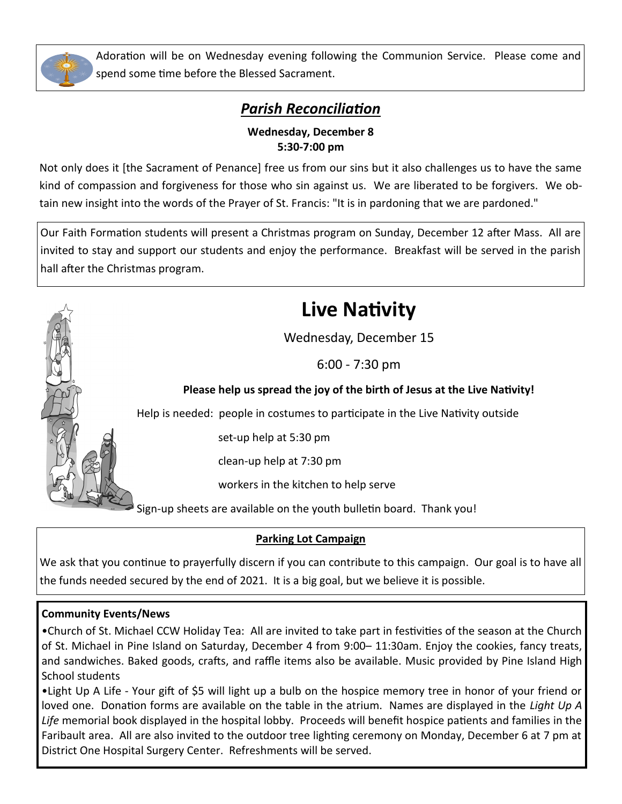

Adoration will be on Wednesday evening following the Communion Service. Please come and spend some time before the Blessed Sacrament.

## *Parish Reconciliation*

### **Wednesday, December 8 5:30-7:00 pm**

Not only does it [the Sacrament of Penance] free us from our sins but it also challenges us to have the same kind of compassion and forgiveness for those who sin against us. We are liberated to be forgivers. We obtain new insight into the words of the Prayer of St. Francis: "It is in pardoning that we are pardoned."

Our Faith Formation students will present a Christmas program on Sunday, December 12 after Mass. All are invited to stay and support our students and enjoy the performance. Breakfast will be served in the parish hall after the Christmas program.

# **Live Nativity**

Wednesday, December 15

6:00 - 7:30 pm

## **Please help us spread the joy of the birth of Jesus at the Live Nativity!**

Help is needed: people in costumes to participate in the Live Nativity outside

set-up help at 5:30 pm

clean-up help at 7:30 pm

workers in the kitchen to help serve

Sign-up sheets are available on the youth bulletin board. Thank you!

## **Parking Lot Campaign**

We ask that you continue to prayerfully discern if you can contribute to this campaign. Our goal is to have all the funds needed secured by the end of 2021. It is a big goal, but we believe it is possible.

### **Community Events/News**

•Church of St. Michael CCW Holiday Tea: All are invited to take part in festivities of the season at the Church of St. Michael in Pine Island on Saturday, December 4 from 9:00– 11:30am. Enjoy the cookies, fancy treats, and sandwiches. Baked goods, crafts, and raffle items also be available. Music provided by Pine Island High School students

•Light Up A Life - Your gift of \$5 will light up a bulb on the hospice memory tree in honor of your friend or loved one. Donation forms are available on the table in the atrium. Names are displayed in the *Light Up A Life* memorial book displayed in the hospital lobby. Proceeds will benefit hospice patients and families in the Faribault area. All are also invited to the outdoor tree lighting ceremony on Monday, December 6 at 7 pm at District One Hospital Surgery Center. Refreshments will be served.